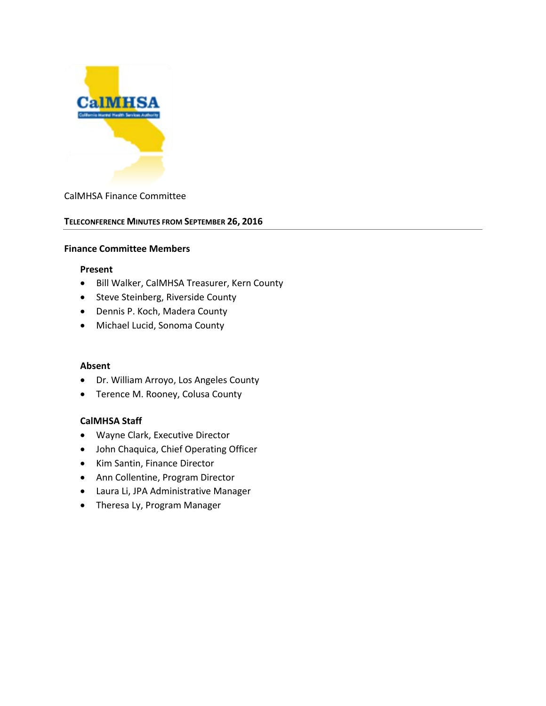

## CalMHSA Finance Committee

#### **TELECONFERENCE MINUTES FROM SEPTEMBER 26, 2016**

#### **Finance Committee Members**

#### **Present**

- Bill Walker, CalMHSA Treasurer, Kern County
- Steve Steinberg, Riverside County
- Dennis P. Koch, Madera County
- Michael Lucid, Sonoma County

#### **Absent**

- Dr. William Arroyo, Los Angeles County
- Terence M. Rooney, Colusa County

## **CalMHSA Staff**

- Wayne Clark, Executive Director
- John Chaquica, Chief Operating Officer
- Kim Santin, Finance Director
- Ann Collentine, Program Director
- Laura Li, JPA Administrative Manager
- Theresa Ly, Program Manager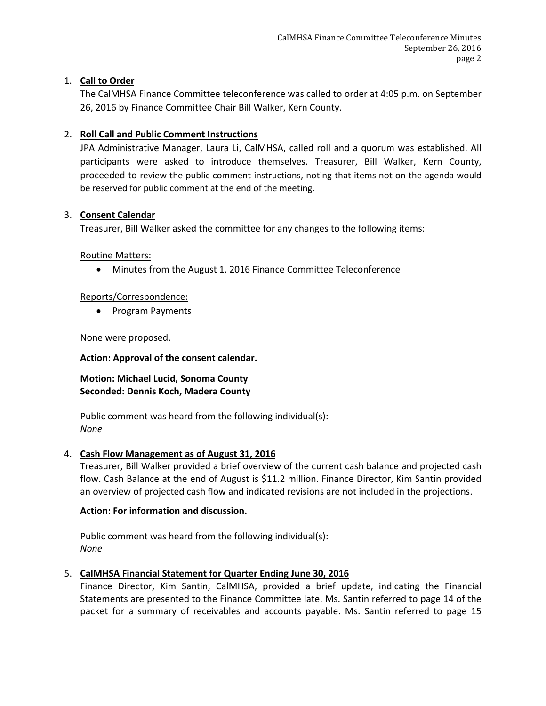# 1. **Call to Order**

The CalMHSA Finance Committee teleconference was called to order at 4:05 p.m. on September 26, 2016 by Finance Committee Chair Bill Walker, Kern County.

# 2. **Roll Call and Public Comment Instructions**

JPA Administrative Manager, Laura Li, CalMHSA, called roll and a quorum was established. All participants were asked to introduce themselves. Treasurer, Bill Walker, Kern County, proceeded to review the public comment instructions, noting that items not on the agenda would be reserved for public comment at the end of the meeting.

## 3. **Consent Calendar**

Treasurer, Bill Walker asked the committee for any changes to the following items:

## Routine Matters:

• Minutes from the August 1, 2016 Finance Committee Teleconference

# Reports/Correspondence:

• Program Payments

None were proposed.

## **Action: Approval of the consent calendar.**

# **Motion: Michael Lucid, Sonoma County Seconded: Dennis Koch, Madera County**

Public comment was heard from the following individual(s): *None*

## 4. **Cash Flow Management as of August 31, 2016**

Treasurer, Bill Walker provided a brief overview of the current cash balance and projected cash flow. Cash Balance at the end of August is \$11.2 million. Finance Director, Kim Santin provided an overview of projected cash flow and indicated revisions are not included in the projections.

## **Action: For information and discussion.**

Public comment was heard from the following individual(s): *None*

# 5. **CalMHSA Financial Statement for Quarter Ending June 30, 2016**

Finance Director, Kim Santin, CalMHSA, provided a brief update, indicating the Financial Statements are presented to the Finance Committee late. Ms. Santin referred to page 14 of the packet for a summary of receivables and accounts payable. Ms. Santin referred to page 15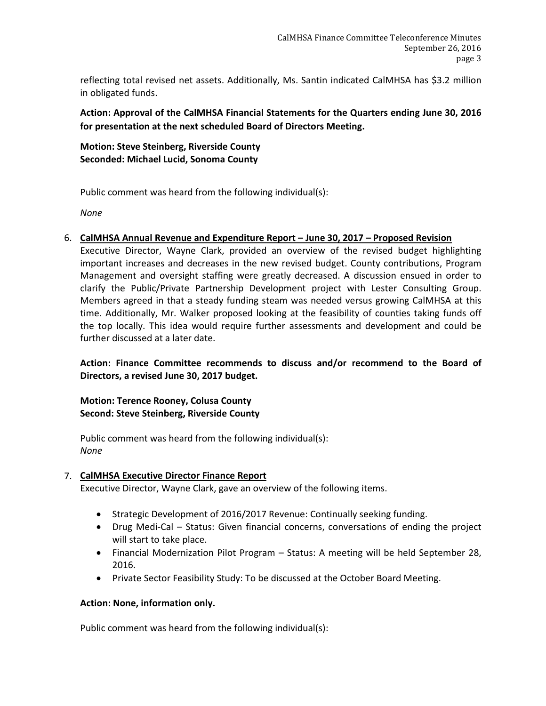reflecting total revised net assets. Additionally, Ms. Santin indicated CalMHSA has \$3.2 million in obligated funds.

**Action: Approval of the CalMHSA Financial Statements for the Quarters ending June 30, 2016 for presentation at the next scheduled Board of Directors Meeting.**

**Motion: Steve Steinberg, Riverside County Seconded: Michael Lucid, Sonoma County**

Public comment was heard from the following individual(s):

*None*

6. **CalMHSA Annual Revenue and Expenditure Report – June 30, 2017 – Proposed Revision**

Executive Director, Wayne Clark, provided an overview of the revised budget highlighting important increases and decreases in the new revised budget. County contributions, Program Management and oversight staffing were greatly decreased. A discussion ensued in order to clarify the Public/Private Partnership Development project with Lester Consulting Group. Members agreed in that a steady funding steam was needed versus growing CalMHSA at this time. Additionally, Mr. Walker proposed looking at the feasibility of counties taking funds off the top locally. This idea would require further assessments and development and could be further discussed at a later date.

**Action: Finance Committee recommends to discuss and/or recommend to the Board of Directors, a revised June 30, 2017 budget.**

**Motion: Terence Rooney, Colusa County Second: Steve Steinberg, Riverside County**

Public comment was heard from the following individual(s): *None*

## 7. **CalMHSA Executive Director Finance Report**

Executive Director, Wayne Clark, gave an overview of the following items.

- Strategic Development of 2016/2017 Revenue: Continually seeking funding.
- Drug Medi-Cal Status: Given financial concerns, conversations of ending the project will start to take place.
- Financial Modernization Pilot Program Status: A meeting will be held September 28, 2016.
- Private Sector Feasibility Study: To be discussed at the October Board Meeting.

## **Action: None, information only.**

Public comment was heard from the following individual(s):